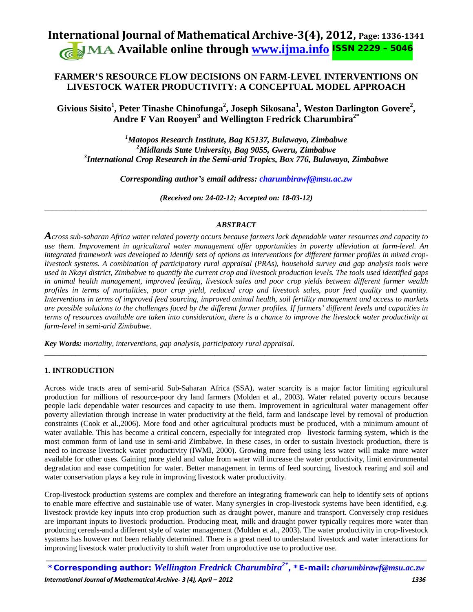# **International Journal of Mathematical Archive-3(4), 2012, Page: 1336-1341 Available online through [www.ijma.info](http://www.ijma.info/)** ISSN 2229 – <sup>5046</sup>

# **FARMER'S RESOURCE FLOW DECISIONS ON FARM-LEVEL INTERVENTIONS ON LIVESTOCK WATER PRODUCTIVITY: A CONCEPTUAL MODEL APPROACH**

 $\mathbf{Givious~Sisito}^{1},$  Peter Tinashe Chinofunga $^{2},$  Joseph Sikosana $^{1},$  Weston Darlington Govere $^{2},$ **Andre F Van Rooyen<sup>3</sup> and Wellington Fredrick Charumbira2\***

*1 Matopos Research Institute, Bag K5137, Bulawayo, Zimbabwe 2 Midlands State University, Bag 9055, Gweru, Zimbabwe 3 International Crop Research in the Semi-arid Tropics, Box 776, Bulawayo, Zimbabwe*

*Corresponding author's email address: [charumbirawf@msu.ac.zw](mailto:charumbirawf@msu.ac.zw)*

*(Received on: 24-02-12; Accepted on: 18-03-12)* \_\_\_\_\_\_\_\_\_\_\_\_\_\_\_\_\_\_\_\_\_\_\_\_\_\_\_\_\_\_\_\_\_\_\_\_\_\_\_\_\_\_\_\_\_\_\_\_\_\_\_\_\_\_\_\_\_\_\_\_\_\_\_\_\_\_\_\_\_\_\_\_\_\_\_\_\_\_\_\_\_\_\_\_\_\_\_\_\_\_\_\_\_\_\_\_\_\_\_

# *ABSTRACT*

*Across sub-saharan Africa water related poverty occurs because farmers lack dependable water resources and capacity to use them. Improvement in agricultural water management offer opportunities in poverty alleviation at farm-level. An integrated framework was developed to identify sets of options as interventions for different farmer profiles in mixed croplivestock systems. A combination of participatory rural appraisal (PRAs), household survey and gap analysis tools were used in Nkayi district, Zimbabwe to quantify the current crop and livestock production levels. The tools used identified gaps in animal health management, improved feeding, livestock sales and poor crop yields between different farmer wealth profiles in terms of mortalities, poor crop yield, reduced crop and livestock sales, poor feed quality and quantity. Interventions in terms of improved feed sourcing, improved animal health, soil fertility management and access to markets are possible solutions to the challenges faced by the different farmer profiles. If farmers' different levels and capacities in terms of resources available are taken into consideration, there is a chance to improve the livestock water productivity at farm-level in semi-arid Zimbabwe.*

**\_\_\_\_\_\_\_\_\_\_\_\_\_\_\_\_\_\_\_\_\_\_\_\_\_\_\_\_\_\_\_\_\_\_\_\_\_\_\_\_\_\_\_\_\_\_\_\_\_\_\_\_\_\_\_\_\_\_\_\_\_\_\_\_\_\_\_\_\_\_\_\_\_\_\_\_\_\_\_\_\_\_\_\_\_\_\_\_\_\_\_\_\_\_\_\_\_\_\_**

*Key Words: mortality, interventions, gap analysis, participatory rural appraisal.*

# **1. INTRODUCTION**

Across wide tracts area of semi-arid Sub-Saharan Africa (SSA), water scarcity is a major factor limiting agricultural production for millions of resource-poor dry land farmers (Molden et al., 2003). Water related poverty occurs because people lack dependable water resources and capacity to use them. Improvement in agricultural water management offer poverty alleviation through increase in water productivity at the field, farm and landscape level by removal of production constraints (Cook et al.,2006). More food and other agricultural products must be produced, with a minimum amount of water available. This has become a critical concern, especially for integrated crop –livestock farming system, which is the most common form of land use in semi-arid Zimbabwe. In these cases, in order to sustain livestock production, there is need to increase livestock water productivity (IWMI, 2000). Growing more feed using less water will make more water available for other uses. Gaining more yield and value from water will increase the water productivity, limit environmental degradation and ease competition for water. Better management in terms of feed sourcing, livestock rearing and soil and water conservation plays a key role in improving livestock water productivity.

Crop-livestock production systems are complex and therefore an integrating framework can help to identify sets of options to enable more effective and sustainable use of water. Many synergies in crop-livestock systems have been identified, e.g. livestock provide key inputs into crop production such as draught power, manure and transport. Conversely crop residues are important inputs to livestock production. Producing meat, milk and draught power typically requires more water than producing cereals-and a different style of water management (Molden et al., 2003). The water productivity in crop-livestock systems has however not been reliably determined. There is a great need to understand livestock and water interactions for improving livestock water productivity to shift water from unproductive use to productive use.

 $\mathcal{L}_\text{max}$  , and the set of the set of the set of the set of the set of the set of the set of the set of the set of the set of the set of the set of the set of the set of the set of the set of the set of the set of the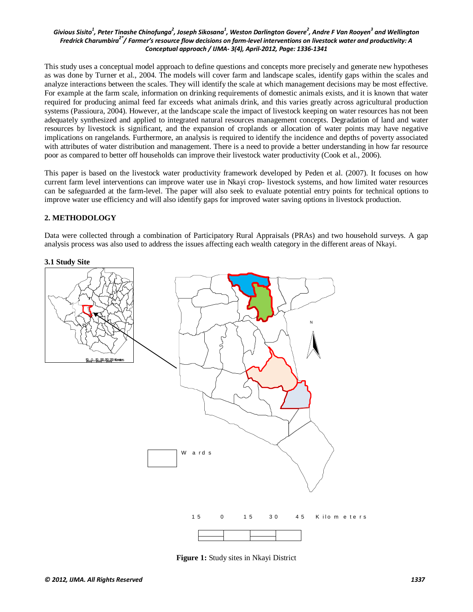This study uses a conceptual model approach to define questions and concepts more precisely and generate new hypotheses as was done by Turner et al., 2004. The models will cover farm and landscape scales, identify gaps within the scales and analyze interactions between the scales. They will identify the scale at which management decisions may be most effective. For example at the farm scale, information on drinking requirements of domestic animals exists, and it is known that water required for producing animal feed far exceeds what animals drink, and this varies greatly across agricultural production systems (Passioura, 2004). However, at the landscape scale the impact of livestock keeping on water resources has not been adequately synthesized and applied to integrated natural resources management concepts. Degradation of land and water resources by livestock is significant, and the expansion of croplands or allocation of water points may have negative implications on rangelands. Furthermore, an analysis is required to identify the incidence and depths of poverty associated with attributes of water distribution and management. There is a need to provide a better understanding in how far resource poor as compared to better off households can improve their livestock water productivity (Cook et al., 2006).

This paper is based on the livestock water productivity framework developed by Peden et al. (2007). It focuses on how current farm level interventions can improve water use in Nkayi crop- livestock systems, and how limited water resources can be safeguarded at the farm-level. The paper will also seek to evaluate potential entry points for technical options to improve water use efficiency and will also identify gaps for improved water saving options in livestock production.

## **2. METHODOLOGY**

Data were collected through a combination of Participatory Rural Appraisals (PRAs) and two household surveys. A gap analysis process was also used to address the issues affecting each wealth category in the different areas of Nkayi.



**Figure 1:** Study sites in Nkayi District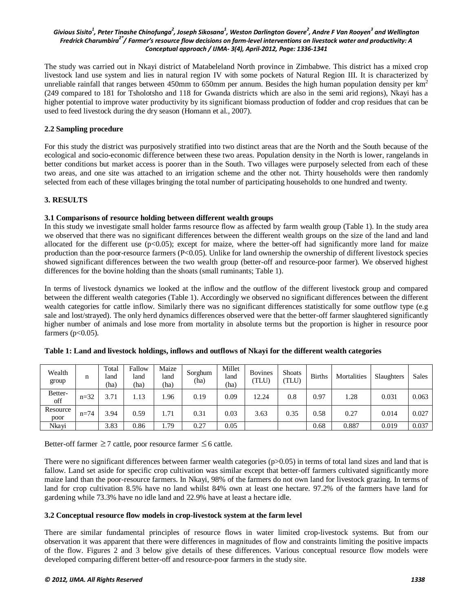The study was carried out in Nkayi district of Matabeleland North province in Zimbabwe. This district has a mixed crop livestock land use system and lies in natural region IV with some pockets of Natural Region III. It is characterized by unreliable rainfall that ranges between 450mm to 650mm per annum. Besides the high human population density per  $km<sup>2</sup>$ (249 compared to 181 for Tsholotsho and 118 for Gwanda districts which are also in the semi arid regions), Nkayi has a higher potential to improve water productivity by its significant biomass production of fodder and crop residues that can be used to feed livestock during the dry season (Homann et al., 2007).

#### **2.2 Sampling procedure**

For this study the district was purposively stratified into two distinct areas that are the North and the South because of the ecological and socio-economic difference between these two areas. Population density in the North is lower, rangelands in better conditions but market access is poorer than in the South. Two villages were purposely selected from each of these two areas, and one site was attached to an irrigation scheme and the other not. Thirty households were then randomly selected from each of these villages bringing the total number of participating households to one hundred and twenty.

## **3. RESULTS**

#### **3.1 Comparisons of resource holding between different wealth groups**

In this study we investigate small holder farms resource flow as affected by farm wealth group (Table 1). In the study area we observed that there was no significant differences between the different wealth groups on the size of the land and land allocated for the different use  $(p<0.05)$ ; except for maize, where the better-off had significantly more land for maize production than the poor-resource farmers (P<0.05). Unlike for land ownership the ownership of different livestock species showed significant differences between the two wealth group (better-off and resource-poor farmer). We observed highest differences for the bovine holding than the shoats (small ruminants; Table 1).

In terms of livestock dynamics we looked at the inflow and the outflow of the different livestock group and compared between the different wealth categories (Table 1). Accordingly we observed no significant differences between the different wealth categories for cattle inflow. Similarly there was no significant differences statistically for some outflow type (e.g sale and lost/strayed). The only herd dynamics differences observed were that the better-off farmer slaughtered significantly higher number of animals and lose more from mortality in absolute terms but the proportion is higher in resource poor farmers ( $p<0.05$ ).

| Wealth<br>group  | n        | Total<br>land<br>(ha) | Fallow<br>land<br>(ha) | Maize<br>land<br>(ha) | Sorghum<br>(ha) | Millet<br>land<br>(ha) | <b>Bovines</b><br>TLU) | <b>Shoats</b><br>TLU) | <b>Births</b> | Mortalities | Slaughters | <b>Sales</b> |
|------------------|----------|-----------------------|------------------------|-----------------------|-----------------|------------------------|------------------------|-----------------------|---------------|-------------|------------|--------------|
| Better-<br>off   | $n=32$   | 3.71                  | 1.13                   | .96                   | 0.19            | 0.09                   | 12.24                  | 0.8                   | 0.97          | 1.28        | 0.031      | 0.063        |
| Resource<br>poor | $n = 74$ | 3.94                  | 0.59                   | 1.71                  | 0.31            | 0.03                   | 3.63                   | 0.35                  | 0.58          | 0.27        | 0.014      | 0.027        |
| Nkayi            |          | 3.83                  | 0.86                   | 1.79                  | 0.27            | 0.05                   |                        |                       | 0.68          | 0.887       | 0.019      | 0.037        |

**Table 1: Land and livestock holdings, inflows and outflows of Nkayi for the different wealth categories**

Better-off farmer  $\geq 7$  cattle, poor resource farmer  $\leq 6$  cattle.

There were no significant differences between farmer wealth categories  $(p>0.05)$  in terms of total land sizes and land that is fallow. Land set aside for specific crop cultivation was similar except that better-off farmers cultivated significantly more maize land than the poor-resource farmers. In Nkayi, 98% of the farmers do not own land for livestock grazing. In terms of land for crop cultivation 8.5% have no land whilst 84% own at least one hectare. 97.2% of the farmers have land for gardening while 73.3% have no idle land and 22.9% have at least a hectare idle.

#### **3.2 Conceptual resource flow models in crop-livestock system at the farm level**

There are similar fundamental principles of resource flows in water limited crop-livestock systems. But from our observation it was apparent that there were differences in magnitudes of flow and constraints limiting the positive impacts of the flow. Figures 2 and 3 below give details of these differences. Various conceptual resource flow models were developed comparing different better-off and resource-poor farmers in the study site.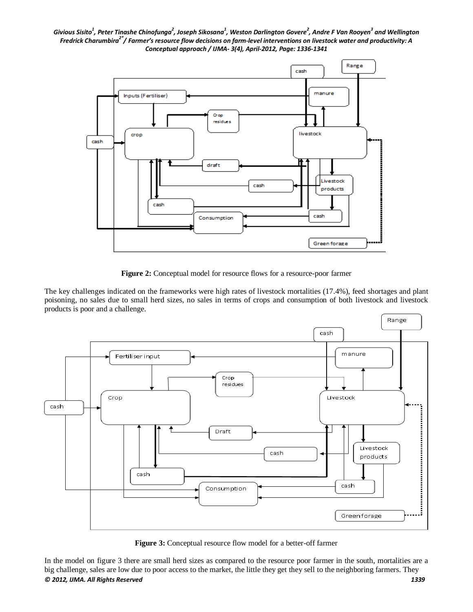

**Figure 2:** Conceptual model for resource flows for a resource-poor farmer

The key challenges indicated on the frameworks were high rates of livestock mortalities (17.4%), feed shortages and plant poisoning, no sales due to small herd sizes, no sales in terms of crops and consumption of both livestock and livestock products is poor and a challenge.



**Figure 3:** Conceptual resource flow model for a better-off farmer

*© 2012, IJMA. All Rights Reserved 1339* In the model on figure 3 there are small herd sizes as compared to the resource poor farmer in the south, mortalities are a big challenge, sales are low due to poor access to the market, the little they get they sell to the neighboring farmers. They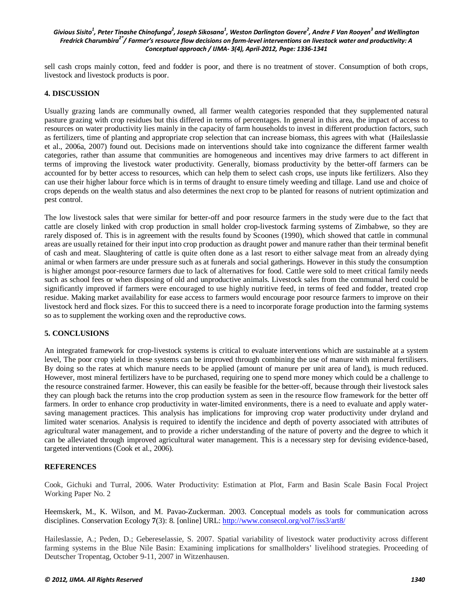sell cash crops mainly cotton, feed and fodder is poor, and there is no treatment of stover. Consumption of both crops, livestock and livestock products is poor.

#### **4. DISCUSSION**

Usually grazing lands are communally owned, all farmer wealth categories responded that they supplemented natural pasture grazing with crop residues but this differed in terms of percentages. In general in this area, the impact of access to resources on water productivity lies mainly in the capacity of farm households to invest in different production factors, such as fertilizers, time of planting and appropriate crop selection that can increase biomass, this agrees with what (Haileslassie et al., 2006a, 2007) found out. Decisions made on interventions should take into cognizance the different farmer wealth categories, rather than assume that communities are homogeneous and incentives may drive farmers to act different in terms of improving the livestock water productivity. Generally, biomass productivity by the better-off farmers can be accounted for by better access to resources, which can help them to select cash crops, use inputs like fertilizers. Also they can use their higher labour force which is in terms of draught to ensure timely weeding and tillage. Land use and choice of crops depends on the wealth status and also determines the next crop to be planted for reasons of nutrient optimization and pest control.

The low livestock sales that were similar for better-off and poor resource farmers in the study were due to the fact that cattle are closely linked with crop production in small holder crop-livestock farming systems of Zimbabwe, so they are rarely disposed of. This is in agreement with the results found by Scoones (1990), which showed that cattle in communal areas are usually retained for their input into crop production as draught power and manure rather than their terminal benefit of cash and meat. Slaughtering of cattle is quite often done as a last resort to either salvage meat from an already dying animal or when farmers are under pressure such as at funerals and social gatherings. However in this study the consumption is higher amongst poor-resource farmers due to lack of alternatives for food. Cattle were sold to meet critical family needs such as school fees or when disposing of old and unproductive animals. Livestock sales from the communal herd could be significantly improved if farmers were encouraged to use highly nutritive feed, in terms of feed and fodder, treated crop residue. Making market availability for ease access to farmers would encourage poor resource farmers to improve on their livestock herd and flock sizes. For this to succeed there is a need to incorporate forage production into the farming systems so as to supplement the working oxen and the reproductive cows.

## **5. CONCLUSIONS**

An integrated framework for crop-livestock systems is critical to evaluate interventions which are sustainable at a system level, The poor crop yield in these systems can be improved through combining the use of manure with mineral fertilisers. By doing so the rates at which manure needs to be applied (amount of manure per unit area of land), is much reduced. However, most mineral fertilizers have to be purchased, requiring one to spend more money which could be a challenge to the resource constrained farmer. However, this can easily be feasible for the better-off, because through their livestock sales they can plough back the returns into the crop production system as seen in the resource flow framework for the better off farmers. In order to enhance crop productivity in water-limited environments, there is a need to evaluate and apply watersaving management practices. This analysis has implications for improving crop water productivity under dryland and limited water scenarios. Analysis is required to identify the incidence and depth of poverty associated with attributes of agricultural water management, and to provide a richer understanding of the nature of poverty and the degree to which it can be alleviated through improved agricultural water management. This is a necessary step for devising evidence-based, targeted interventions (Cook et al., 2006).

#### **REFERENCES**

Cook, Gichuki and Turral, 2006. Water Productivity: Estimation at Plot, Farm and Basin Scale Basin Focal Project Working Paper No. 2

Heemskerk, M., K. Wilson, and M. Pavao-Zuckerman. 2003. Conceptual models as tools for communication across disciplines. Conservation Ecology **7**(3): 8. [online] URL:<http://www.consecol.org/vol7/iss3/art8/>

Haileslassie, A.; Peden, D.; Gebereselassie, S. 2007. Spatial variability of livestock water productivity across different farming systems in the Blue Nile Basin: Examining implications for smallholders' livelihood strategies. Proceeding of Deutscher Tropentag, October 9-11, 2007 in Witzenhausen.